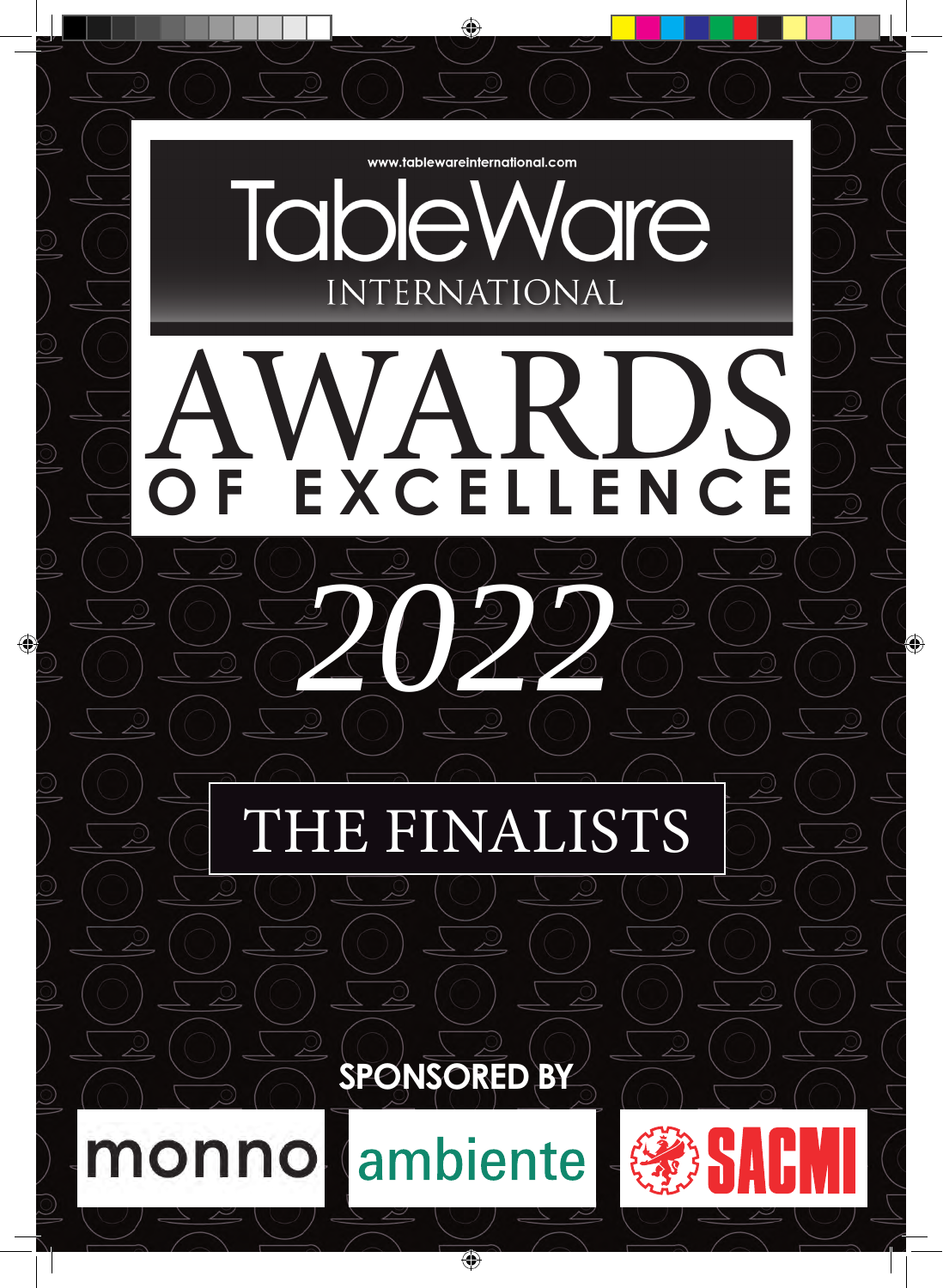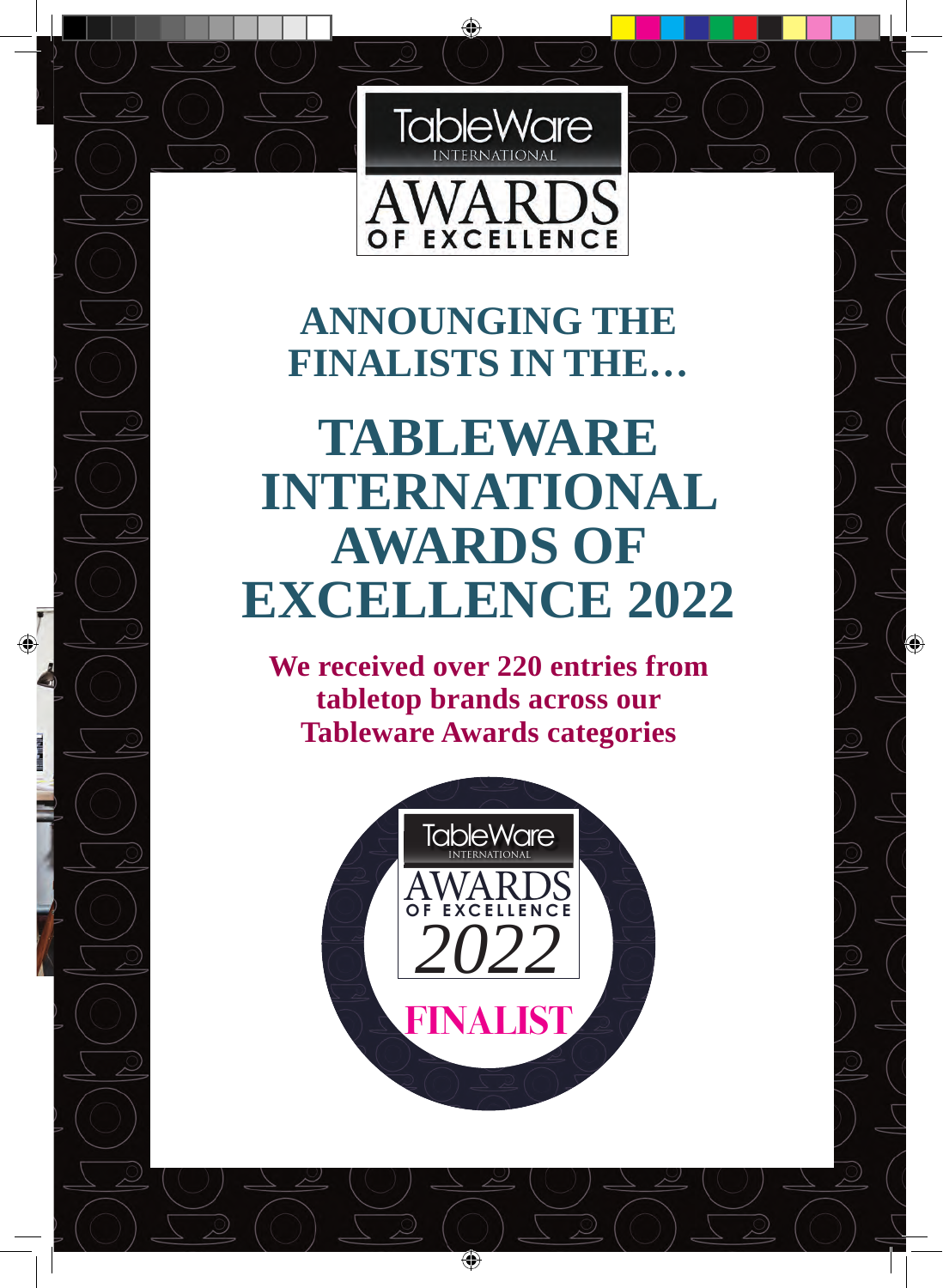

OF EXCELLENCE

## **ANNOUNGING THE FINALISTS IN THE…**

## **TABLEWARE INTERNATIONAL AWARDS OF EXCELLENCE 2022**

**We received over 220 entries from tabletop brands across our Tableware Awards categories**



**16 TABLEWARE INTERNATIONAL AWARDS OF EXCELLENCE 2022 TABLEWARE INTERNATIONAL AWARDS OF EXCELLENCE 17**